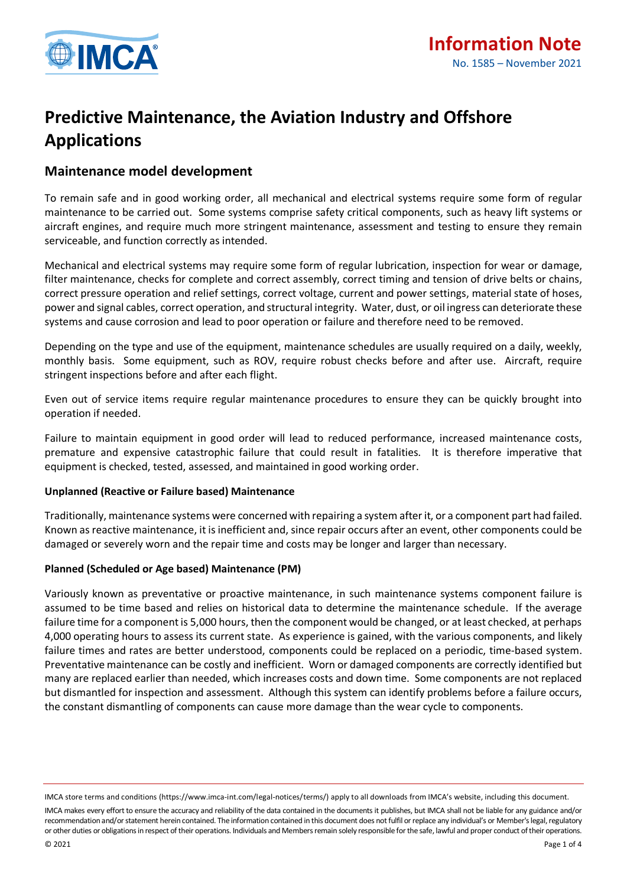

# **Predictive Maintenance, the Aviation Industry and Offshore Applications**

# **Maintenance model development**

To remain safe and in good working order, all mechanical and electrical systems require some form of regular maintenance to be carried out. Some systems comprise safety critical components, such as heavy lift systems or aircraft engines, and require much more stringent maintenance, assessment and testing to ensure they remain serviceable, and function correctly as intended.

Mechanical and electrical systems may require some form of regular lubrication, inspection for wear or damage, filter maintenance, checks for complete and correct assembly, correct timing and tension of drive belts or chains, correct pressure operation and relief settings, correct voltage, current and power settings, material state of hoses, power and signal cables, correct operation, and structural integrity. Water, dust, or oil ingress can deteriorate these systems and cause corrosion and lead to poor operation or failure and therefore need to be removed.

Depending on the type and use of the equipment, maintenance schedules are usually required on a daily, weekly, monthly basis. Some equipment, such as ROV, require robust checks before and after use. Aircraft, require stringent inspections before and after each flight.

Even out of service items require regular maintenance procedures to ensure they can be quickly brought into operation if needed.

Failure to maintain equipment in good order will lead to reduced performance, increased maintenance costs, premature and expensive catastrophic failure that could result in fatalities. It is therefore imperative that equipment is checked, tested, assessed, and maintained in good working order.

#### **Unplanned (Reactive or Failure based) Maintenance**

Traditionally, maintenance systems were concerned with repairing a system after it, or a component part had failed. Known as reactive maintenance, it is inefficient and, since repair occurs after an event, other components could be damaged or severely worn and the repair time and costs may be longer and larger than necessary.

#### **Planned (Scheduled or Age based) Maintenance (PM)**

Variously known as preventative or proactive maintenance, in such maintenance systems component failure is assumed to be time based and relies on historical data to determine the maintenance schedule. If the average failure time for a component is 5,000 hours, then the component would be changed, or at least checked, at perhaps 4,000 operating hours to assess its current state. As experience is gained, with the various components, and likely failure times and rates are better understood, components could be replaced on a periodic, time-based system. Preventative maintenance can be costly and inefficient. Worn or damaged components are correctly identified but many are replaced earlier than needed, which increases costs and down time. Some components are not replaced but dismantled for inspection and assessment. Although this system can identify problems before a failure occurs, the constant dismantling of components can cause more damage than the wear cycle to components.

IMCA store terms and conditions (https://www.imca-int.com/legal-notices/terms/) apply to all downloads from IMCA's website, including this document. IMCA makes every effort to ensure the accuracy and reliability of the data contained in the documents it publishes, but IMCA shall not be liable for any guidance and/or recommendation and/or statement herein contained. The information contained in this document does not fulfil or replace any individual's or Member's legal, regulatory or other duties or obligations in respect of their operations. Individuals and Members remain solely responsible for the safe, lawful and proper conduct of their operations.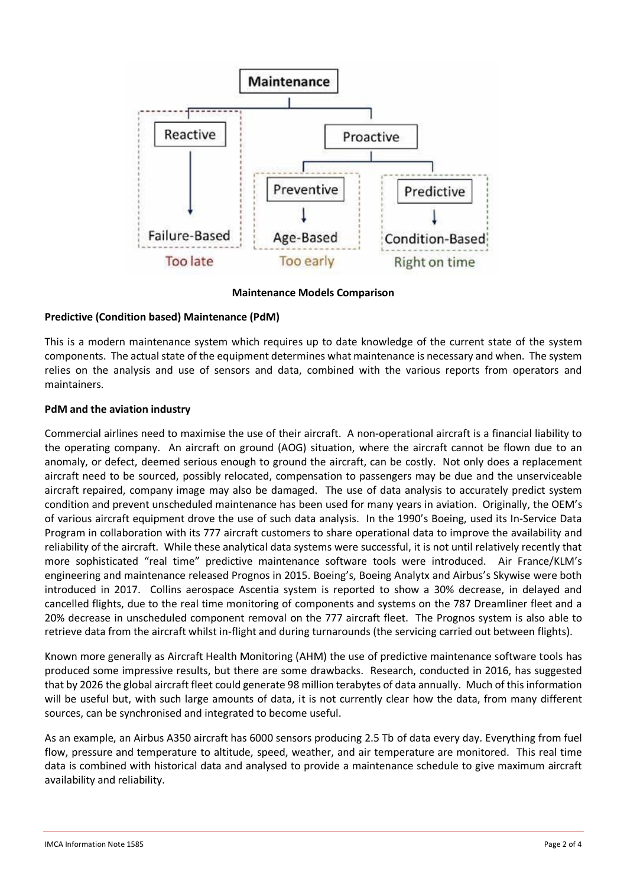

**Maintenance Models Comparison**

# **Predictive (Condition based) Maintenance (PdM)**

This is a modern maintenance system which requires up to date knowledge of the current state of the system components. The actual state of the equipment determines what maintenance is necessary and when. The system relies on the analysis and use of sensors and data, combined with the various reports from operators and maintainers.

## **PdM and the aviation industry**

Commercial airlines need to maximise the use of their aircraft. A non-operational aircraft is a financial liability to the operating company. An aircraft on ground (AOG) situation, where the aircraft cannot be flown due to an anomaly, or defect, deemed serious enough to ground the aircraft, can be costly. Not only does a replacement aircraft need to be sourced, possibly relocated, compensation to passengers may be due and the unserviceable aircraft repaired, company image may also be damaged. The use of data analysis to accurately predict system condition and prevent unscheduled maintenance has been used for many years in aviation. Originally, the OEM's of various aircraft equipment drove the use of such data analysis. In the 1990's Boeing, used its In-Service Data Program in collaboration with its 777 aircraft customers to share operational data to improve the availability and reliability of the aircraft. While these analytical data systems were successful, it is not until relatively recently that more sophisticated "real time" predictive maintenance software tools were introduced. Air France/KLM's engineering and maintenance released Prognos in 2015. Boeing's, Boeing Analytx and Airbus's Skywise were both introduced in 2017. Collins aerospace Ascentia system is reported to show a 30% decrease, in delayed and cancelled flights, due to the real time monitoring of components and systems on the 787 Dreamliner fleet and a 20% decrease in unscheduled component removal on the 777 aircraft fleet. The Prognos system is also able to retrieve data from the aircraft whilst in-flight and during turnarounds (the servicing carried out between flights).

Known more generally as Aircraft Health Monitoring (AHM) the use of predictive maintenance software tools has produced some impressive results, but there are some drawbacks. Research, conducted in 2016, has suggested that by 2026 the global aircraft fleet could generate 98 million terabytes of data annually. Much of this information will be useful but, with such large amounts of data, it is not currently clear how the data, from many different sources, can be synchronised and integrated to become useful.

As an example, an Airbus A350 aircraft has 6000 sensors producing 2.5 Tb of data every day. Everything from fuel flow, pressure and temperature to altitude, speed, weather, and air temperature are monitored. This real time data is combined with historical data and analysed to provide a maintenance schedule to give maximum aircraft availability and reliability.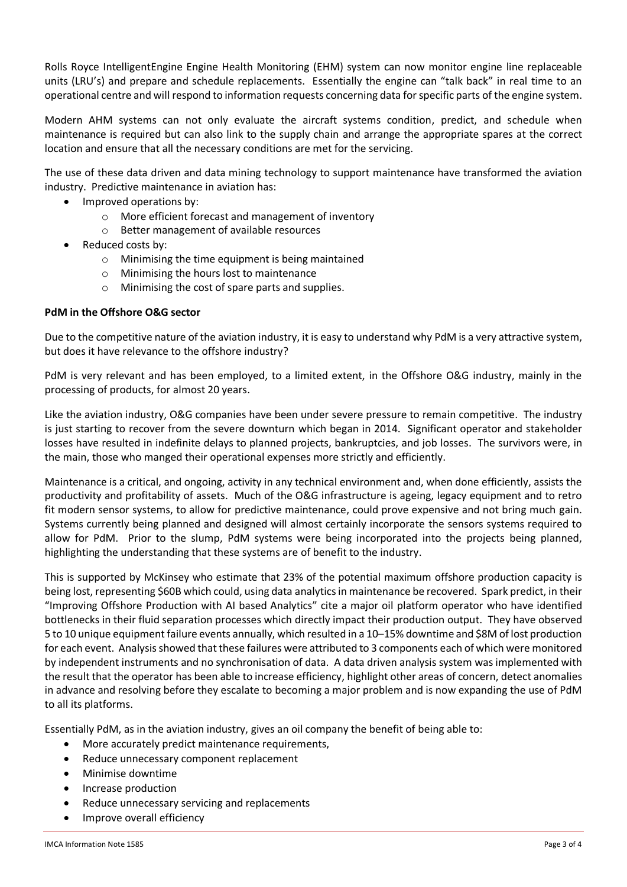Rolls Royce IntelligentEngine Engine Health Monitoring (EHM) system can now monitor engine line replaceable units (LRU's) and prepare and schedule replacements. Essentially the engine can "talk back" in real time to an operational centre and will respond to information requests concerning data for specific parts of the engine system.

Modern AHM systems can not only evaluate the aircraft systems condition, predict, and schedule when maintenance is required but can also link to the supply chain and arrange the appropriate spares at the correct location and ensure that all the necessary conditions are met for the servicing.

The use of these data driven and data mining technology to support maintenance have transformed the aviation industry. Predictive maintenance in aviation has:

- Improved operations by:
	- o More efficient forecast and management of inventory
	- o Better management of available resources
- Reduced costs by:
	- o Minimising the time equipment is being maintained
	- o Minimising the hours lost to maintenance
	- o Minimising the cost of spare parts and supplies.

#### **PdM in the Offshore O&G sector**

Due to the competitive nature of the aviation industry, it is easy to understand why PdM is a very attractive system, but does it have relevance to the offshore industry?

PdM is very relevant and has been employed, to a limited extent, in the Offshore O&G industry, mainly in the processing of products, for almost 20 years.

Like the aviation industry, O&G companies have been under severe pressure to remain competitive. The industry is just starting to recover from the severe downturn which began in 2014. Significant operator and stakeholder losses have resulted in indefinite delays to planned projects, bankruptcies, and job losses. The survivors were, in the main, those who manged their operational expenses more strictly and efficiently.

Maintenance is a critical, and ongoing, activity in any technical environment and, when done efficiently, assists the productivity and profitability of assets. Much of the O&G infrastructure is ageing, legacy equipment and to retro fit modern sensor systems, to allow for predictive maintenance, could prove expensive and not bring much gain. Systems currently being planned and designed will almost certainly incorporate the sensors systems required to allow for PdM. Prior to the slump, PdM systems were being incorporated into the projects being planned, highlighting the understanding that these systems are of benefit to the industry.

This is supported by McKinsey who estimate that 23% of the potential maximum offshore production capacity is being lost, representing \$60B which could, using data analytics in maintenance be recovered. Spark predict, in their "Improving Offshore Production with AI based Analytics" cite a major oil platform operator who have identified bottlenecks in their fluid separation processes which directly impact their production output. They have observed 5 to 10 unique equipment failure events annually, which resulted in a 10–15% downtime and \$8M of lost production for each event. Analysis showed that these failures were attributed to 3 components each of which were monitored by independent instruments and no synchronisation of data. A data driven analysis system was implemented with the result that the operator has been able to increase efficiency, highlight other areas of concern, detect anomalies in advance and resolving before they escalate to becoming a major problem and is now expanding the use of PdM to all its platforms.

Essentially PdM, as in the aviation industry, gives an oil company the benefit of being able to:

- More accurately predict maintenance requirements,
- Reduce unnecessary component replacement
- Minimise downtime
- Increase production
- Reduce unnecessary servicing and replacements
- Improve overall efficiency